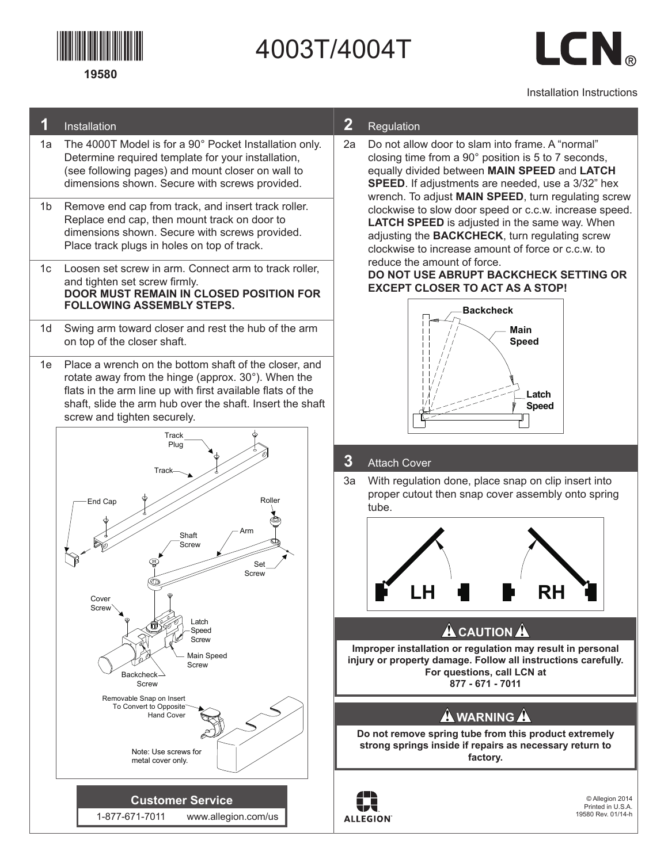

# 4003T/4004T

LCN.

#### Installation Instructions

#### **1** Installation

- 1a The 4000T Model is for a 90° Pocket Installation only. Determine required template for your installation, (see following pages) and mount closer on wall to dimensions shown. Secure with screws provided.
- 1b Remove end cap from track, and insert track roller. Replace end cap, then mount track on door to dimensions shown. Secure with screws provided. Place track plugs in holes on top of track.
- 1c Loosen set screw in arm. Connect arm to track roller, and tighten set screw firmly. **DOOR MUST REMAIN IN CLOSED POSITION FOR FOLLOWING ASSEMBLY STEPS.**
- 1d Swing arm toward closer and rest the hub of the arm on top of the closer shaft.
- 1e Place a wrench on the bottom shaft of the closer, and rotate away from the hinge (approx. 30°). When the flats in the arm line up with first available flats of the shaft, slide the arm hub over the shaft. Insert the shaft screw and tighten securely.



#### **2** Regulation

2a Do not allow door to slam into frame. A "normal" closing time from a 90° position is 5 to 7 seconds, equally divided between **MAIN SPEED** and **LATCH SPEED**. If adjustments are needed, use a 3/32" hex wrench. To adjust **MAIN SPEED**, turn regulating screw clockwise to slow door speed or c.c.w. increase speed. **LATCH SPEED** is adjusted in the same way. When adjusting the **BACKCHECK**, turn regulating screw clockwise to increase amount of force or c.c.w. to reduce the amount of force.

**DO NOT USE ABRUPT BACKCHECK SETTING OR Backcheck EXCEPT CLOSER TO ACT AS A STOP! Main**



#### **3** Attach Cover

3a With regulation done, place snap on clip insert into proper cutout then snap cover assembly onto spring tube.



## **L**<br> **CAUTION**<br> **A**

**Improper installation or regulation may result in personal injury or property damage. Follow all instructions carefully. For questions, call LCN at 877 - 671 - 7011**

### **A** WARNING A

**Do not remove spring tube from this product extremely strong springs inside if repairs as necessary return to factory.**



© Allegion 2014 Printed in U.S.A. 19580 Rev. 01/14-h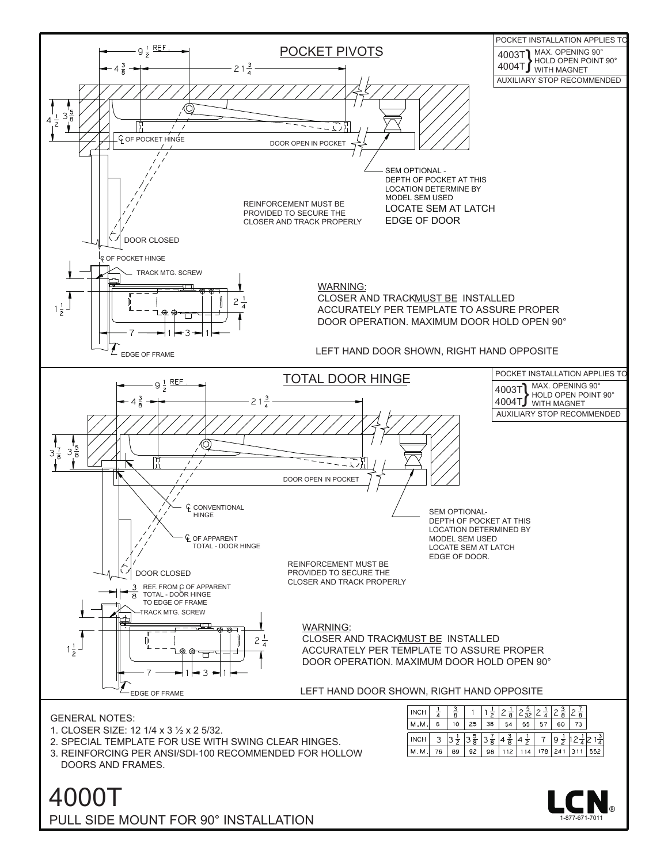

4000T PULL SIDE MOUNT FOR 90° INSTALLATION

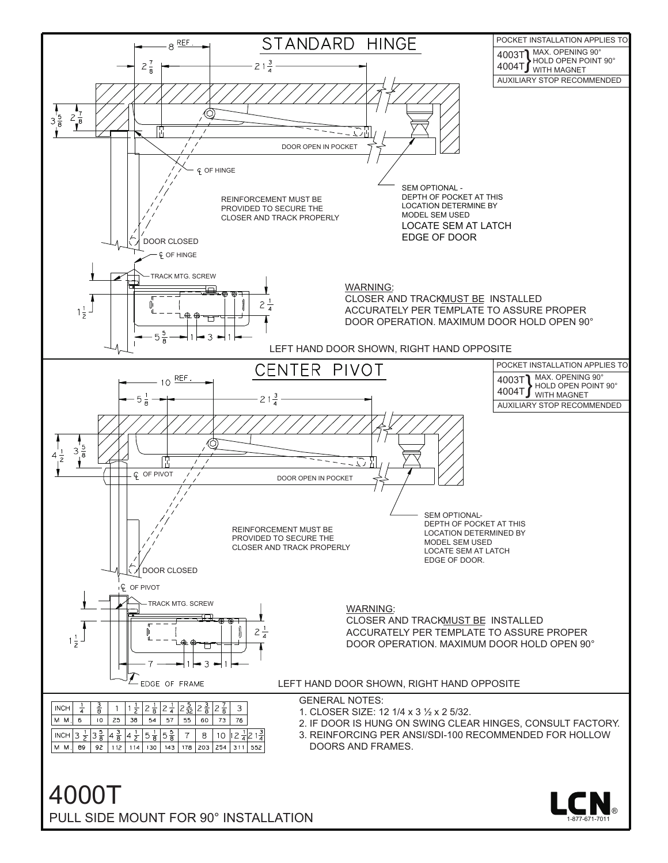

4000T PULL SIDE MOUNT FOR 90° INSTALLATION

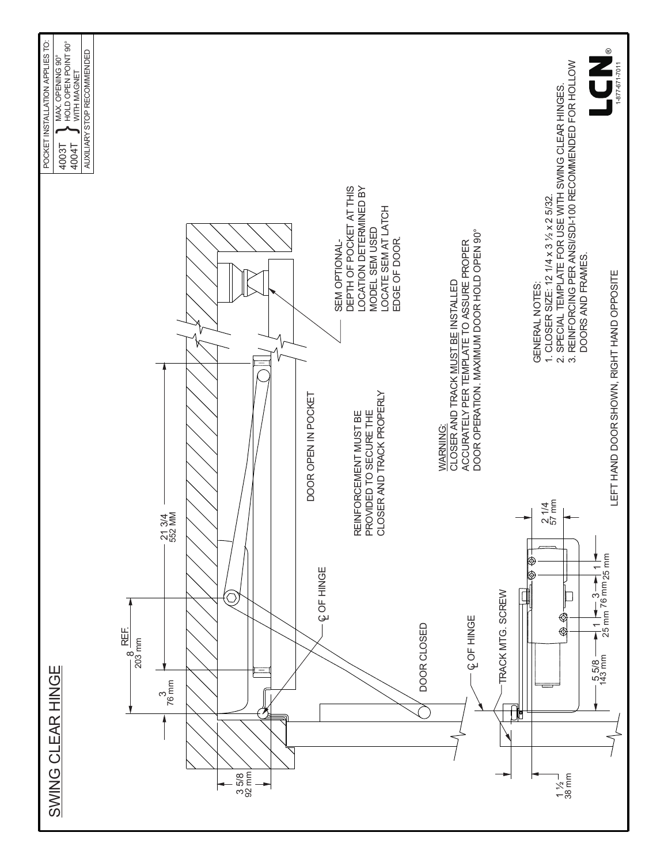